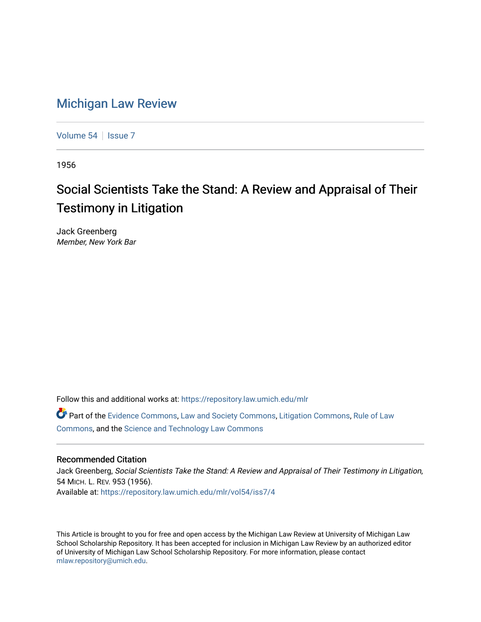# [Michigan Law Review](https://repository.law.umich.edu/mlr)

[Volume 54](https://repository.law.umich.edu/mlr/vol54) | [Issue 7](https://repository.law.umich.edu/mlr/vol54/iss7)

1956

# Social Scientists Take the Stand: A Review and Appraisal of Their Testimony in Litigation

Jack Greenberg Member, New York Bar

Follow this and additional works at: [https://repository.law.umich.edu/mlr](https://repository.law.umich.edu/mlr?utm_source=repository.law.umich.edu%2Fmlr%2Fvol54%2Fiss7%2F4&utm_medium=PDF&utm_campaign=PDFCoverPages) 

Part of the [Evidence Commons,](http://network.bepress.com/hgg/discipline/601?utm_source=repository.law.umich.edu%2Fmlr%2Fvol54%2Fiss7%2F4&utm_medium=PDF&utm_campaign=PDFCoverPages) [Law and Society Commons](http://network.bepress.com/hgg/discipline/853?utm_source=repository.law.umich.edu%2Fmlr%2Fvol54%2Fiss7%2F4&utm_medium=PDF&utm_campaign=PDFCoverPages), [Litigation Commons,](http://network.bepress.com/hgg/discipline/910?utm_source=repository.law.umich.edu%2Fmlr%2Fvol54%2Fiss7%2F4&utm_medium=PDF&utm_campaign=PDFCoverPages) [Rule of Law](http://network.bepress.com/hgg/discipline/1122?utm_source=repository.law.umich.edu%2Fmlr%2Fvol54%2Fiss7%2F4&utm_medium=PDF&utm_campaign=PDFCoverPages)  [Commons](http://network.bepress.com/hgg/discipline/1122?utm_source=repository.law.umich.edu%2Fmlr%2Fvol54%2Fiss7%2F4&utm_medium=PDF&utm_campaign=PDFCoverPages), and the [Science and Technology Law Commons](http://network.bepress.com/hgg/discipline/875?utm_source=repository.law.umich.edu%2Fmlr%2Fvol54%2Fiss7%2F4&utm_medium=PDF&utm_campaign=PDFCoverPages)

#### Recommended Citation

Jack Greenberg, Social Scientists Take the Stand: A Review and Appraisal of Their Testimony in Litigation, 54 MICH. L. REV. 953 (1956). Available at: [https://repository.law.umich.edu/mlr/vol54/iss7/4](https://repository.law.umich.edu/mlr/vol54/iss7/4?utm_source=repository.law.umich.edu%2Fmlr%2Fvol54%2Fiss7%2F4&utm_medium=PDF&utm_campaign=PDFCoverPages)

This Article is brought to you for free and open access by the Michigan Law Review at University of Michigan Law School Scholarship Repository. It has been accepted for inclusion in Michigan Law Review by an authorized editor of University of Michigan Law School Scholarship Repository. For more information, please contact [mlaw.repository@umich.edu.](mailto:mlaw.repository@umich.edu)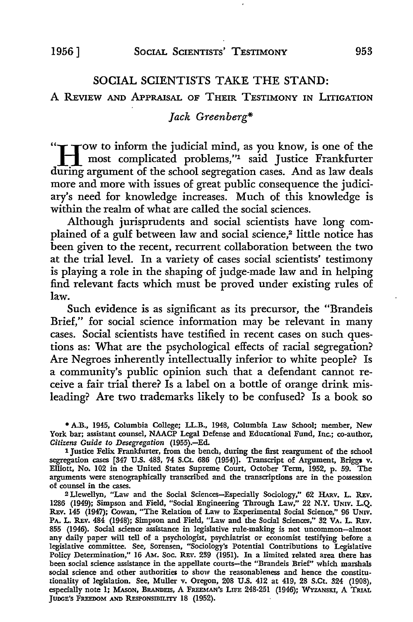#### SOCIAL SCIENTISTS TAKE THE STAND:

#### A REVIEW AND APPRAISAL OF THEIR TESTIMONY IN LITIGATION

# *Jack Greenberg\**

**How** to inform the judicial mind, as you know, is one of the most complicated problems,''1 said Justice Frankfurter during argument of the school segregation cases. And as law deals more and more with issues of great public consequence the judiciary's need for knowledge increases. Much of this knowledge is within the realm of what are called the social sciences.

Although jurisprudents and social scientists have long complained of a gulf between law and social science,<sup>2</sup> little notice has been given to the recent, recurrent collaboration between the two at the trial level. In a variety of cases social scientists' testimony is playing a role in the shaping of judge-made law and in helping find relevant facts which must be proved under existing rules of law.

Such evidence is as significant as its precursor, the "Brandeis Brief," for social science information may be relevant in many cases. Social scientists have testified in recent cases on such questions as: What are the psychological effects of racial segregation? Are Negroes inherently intellectually inferior to white people? Is a community's public opinion such that a defendant cannot receive a fair trial there? Is a label on a bottle of orange drink misleading? Are two trademarks likely to be confused? Is a book so

\* A.B., 1945, Columbia College; L.L.B., 1948, Columbia Law School; member, New York bar; assistant counsel, NAACP Legal Defense and Educational Fund, Inc.; co-author, *Citizens Guide to Desegregation* (1955).-Ed.

1 Justice Felix Frankfurter, from the bench, during the first reargument of the school segregation cases [347 U.S. 483, 74 S.Ct. 686 (1954)]. Transcript of Argument, Briggs v. Elliott, No. 102 in the United States Supreme Court, October Term, 1952, p. 59. The arguments were stenograpbically transcribed and the transcriptions are in the possession of counsel in the cases.

2 Llewellyn, "Law and the Social Sciences-Especially Sociology," 62 HARv. L. REv. 1286 (1949); Simpson and Field, "Social Engineering Through Law," 22 N.Y. UNIV. L.Q. REV. 145 (1947); Cowan, "The Relation of Law to Experimental Social Science," 96 UNIV. PA. L. REV. 484 (1948); Simpson and Field, "Law and the Social Sciences," 32 VA. L. REV. 855 (1946). Social science assistance in legislative rule-making is not uncommon-almost any daily paper will tell of a psychologist, psychiatrist or economist testifying before a legislative committee. See, Sorensen, "Sociology's Potential Contributions to Legislative Policy Determination," 16 AM. Soc. REV. 239 (1951). In a limited related area there has been social science assistance in the appellate courts-the "Brandeis Brief" which marshals social science and other authorities to show the reasonableness and hence the constitutionality of legislation. See, Muller v. Oregon, 208 U.S. 412 at 419, 28 S.Ct. 324 (1908), especially note l; MAsoN, BRANDEIS, A FREEMAN'S LIFE 248-251 (1946); WYZANSKI, A TRIAL JUDGE'S FREEDOM AND REsPONSmILITY 18 (1952).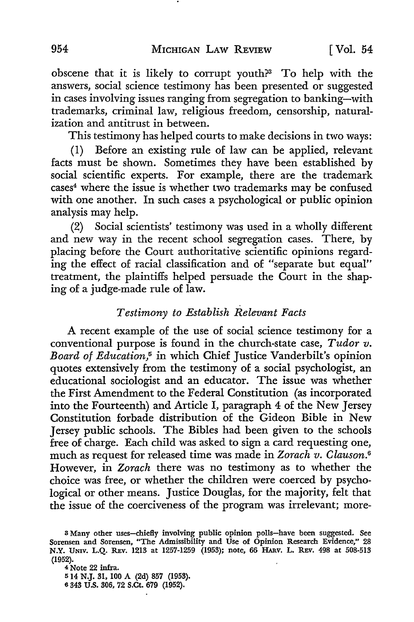obscene that it is likely to corrupt youth?3 To help with the answers, social science testimony has been presented or suggested in cases involving issues ranging from segregation to banking-with trademarks, criminal law, religious freedom, censorship, naturalization and antitrust in between.

This testimony has helped courts to make decisions in two ways:

( 1) Before an existing rule of law can be applied, relevant facts must be shown. Sometimes they have been established by social scientific experts. For example, there are the trademark cases<sup>4</sup> where the issue is whether two trademarks may be confused with one another. In such cases a psychological or public opinion analysis may help.

(2) Social scientists' testimony was used in a wholly different and new way in the recent school segregation cases. There, by placing before the Court authoritative scientific opinions regarding the effect of racial classification and of "separate but equal" treatment, the plaintiffs helped persuade the  $\tilde{C}$ ourt in the shaping of a judge-made rule of law.

# *Testimony to Establish Relevant Facts*

A recent example of the use of social science testimony for a conventional purpose is found in the church-state case, *Tudor v. Board of Education,5* in which Chief Justice Vanderbilt's opinion quotes extensively from the testimony of a social psychologist, an educational sociologist and an educator. The issue was whether the First Amendment to the Federal Constitution (as incorporated into the Fourteenth) and Article I, paragraph 4 of the New Jersey Constitution forbade distribution of the Gideon Bible in New Jersey public schools. The Bibles had been given to the schools free of charge. Each child was asked to sign a card requesting one, much as request for released time was made in *Zorach v. Clauson.6*  However, in *Zorach* there was no testimony as to whether the choice was free, or whether the children were coerced by psychological or other means. Justice Douglas, for the majority, felt that the issue of the coerciveness of the program was irrelevant; more-

4 Note 22 infra. 514 N.J. 31, 100 A (2d) 857 (1953). 6 343 U.S. 306, 72 S.Ct. 679 (1952).

<sup>3</sup>Many other uses-chiefly involving public opinion polls-have been suggested. See Sorensen and Sorensen, "The Admissibility and Use of Opinion Research Evidence,'' 28 N.Y. UNIV. L.Q. REV. 1213 at 1257-1259 (1953); note, 66 HARV. L. REV. 498 at 508-513 (1952).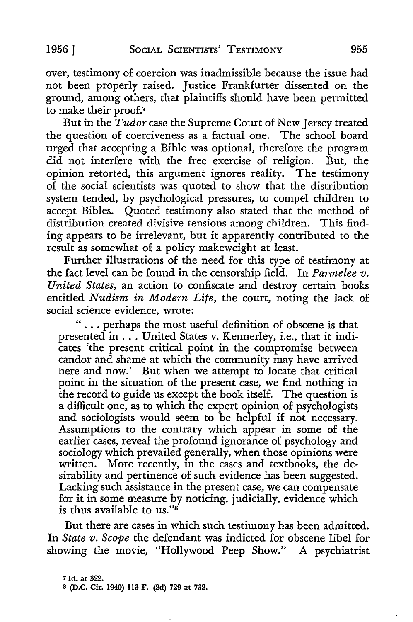over, testimony of coercion was inadmissible because the issue had not been properly raised. Justice Frankfurter dissented on the ground, among others, that plaintiffs should have been permitted to make their proof.<sup>7</sup>

But in the *Tudor* case the Supreme Court of New Jersey treated the question of coerciveness as a factual one. The school board urged that accepting a Bible was optional, therefore the program did not interfere with the free exercise of religion. But, the opinion retorted, this argument ignores reality. The testimony of the social scientists was quoted to show that the distribution system tended, by psychological pressures, to compel children to accept Bibles. Quoted testimony also stated that the method of distribution created divisive tensions among children. This finding appears to be irrelevant, but it apparently contributed to the result as somewhat of a policy makeweight at least.

Further illustrations of the need for this type of testimony at the fact level can be found in the censorship field. In *Parmelee v. United States,* an action to confiscate and destroy certain books entitled *Nudism in Modern Life,* the court, noting the lack of social science evidence, wrote:

... perhaps the most useful definition of obscene is that presented in . . United States v. Kennerley, i.e., that it indicates 'the present critical point in the compromise between candor and shame at which the community may have arrived here and now.' But when we attempt to' locate that critical point in the situation of the present case, we find nothing in the record to guide us except the book itself. The question is a difficult one, as to which the expert opinion of psychologists and sociologists would seem to be helpful if not necessary. Assumptions to the contrary which appear in some of the earlier cases, reveal the profound ignorance of psychology and sociology which prevailed generally, when those opinions were written. More recently, in the cases and textbooks, the desirability and pertinence of such evidence has been suggested. Lacking such assistance in the present case, we can compensate for it in some measure by noticing, judicially, evidence which is thus available to us.''<sup>8</sup>

But there are cases in which such testimony has been admitted. In *State v. Scope* the defendant was indicted for obscene libel for showing the movie, "Hollywood Peep Show.'' A psychiatrist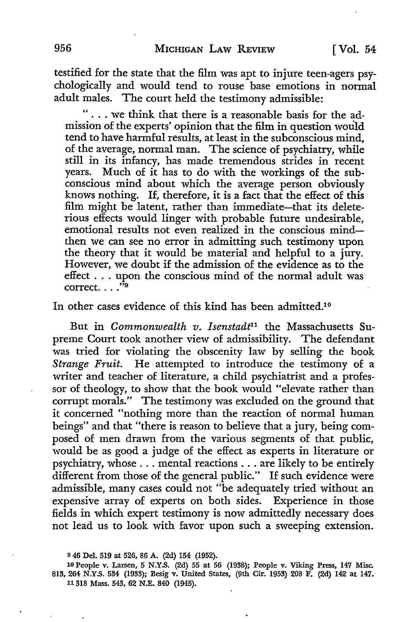testified for the state that the film was apt to injure teen-agers psychologically and would tend to rouse base emotions in normal adult males. The court held the testimony admissible:

... we think that there is a reasonable basis for the admission of the experts' opinion that the film in question would tend to have harmful results, at least in the subconscious mind, of the average, normal man. The science of psychiatry, while still in its infancy, has made tremendous strides in recent years. Much of it has to do with the workings of the subconscious mind about which the average person obviously knows nothing. If, therefore, it is a fact that the effect of this film might be latent, rather than immediate-that its deleterious effects would linger with probable future undesirable, emotional results not even realized in the conscious mindthen we can see no error in admitting such testimony upon the theory that it would be material and helpful to a jury. However, we doubt if the admission of the evidence as to the effect ... upon the conscious mind of the normal adult was  $correct. \ldots$ <sup>79</sup>

In other cases evidence of this kind has been admitted.10

But in *Commonwealth v. Isenstadt11* the Massachusetts **Su**preme Court took another view of admissibility. The defendant was tried for violating the obscenity law by selling the book *Strange Fruit.* He attempted to introduce the testimony of a writer and teacher of literature, a child psychiatrist and a professor of theology, to show that the book would "elevate rather than corrupt morals." The testimony was excluded on the ground that it concerned "nothing more than the reaction of normal human beings" and that "there is reason to believe that a jury, being composed of men drawn from the various segments of that public, would be as goqd a judge of the effect as experts in literature or psychiatry, whose ... mental reactions ... are likely to be entirely different from those of the general public." If such evidence were admissible, many cases could not "be adequately tried without an expensive array of experts on both sides. Experience in those fields in which expert testimony is now admittedly necessary does not lead us to look with favor upon such a sweeping extension.

<sup>9</sup>46 Del. 519 at 526, 86 A. (2d) 154 (1952).

<sup>10</sup> People v. Larsen, 5 N.Y.S. (2d) 55 at 56 (1938); People v. Viking Press, 147 Misc. 813, 264 N.Y.S. 534 (1933); Besig v. United States, (9th Cir. 1953) 208 F. (2d) 142 at 147. 11318 Mass. 543, 62 N.E. 840 (1945).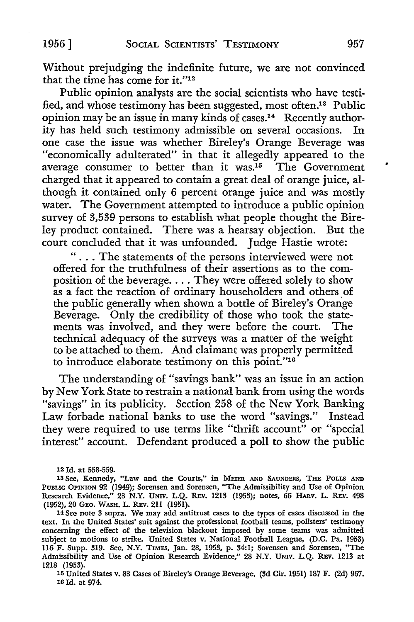Without prejudging the indefinite future, we are not convinced that the time has come for it. "12

Public opinion analysts are the social scientists who have testified, and whose testimony has been suggested, most often.13 Public opinion may be an issue in many kinds of cases.14 Recently authority has held such testimony admissible on several occasions. In one case the issue was whether Bireley's Orange Beverage was "economically adulterated" in that it allegedly appeared to the average consumer to better than it was.<sup>15</sup> The Government charged that it appeared to contain a great deal of orange juice, although it contained only 6 percent orange juice and was mostly water. The Government attempted to introduce a public opinion survey of 3,539 persons to establish what people thought the Bireley product contained. There was a hearsay objection. But the court concluded that it was unfounded. Judge Hastie wrote:

" . . . The statements of the persons interviewed were not offered for the truthfulness of their assertions as to the composition of the beverage .... They were offered solely to show as a fact the reaction of ordinary householders and others of the public generally when shown a bottle of Bireley's Orange Beverage. Only the credibility of those who took the statements was involved, and they were before the court. The technical adequacy of the surveys was a matter of the weight to be attached to them. And claimant was properly permitted to introduce elaborate testimony on this point."<sup>16</sup>

The understanding of "savings bank" was an issue in an action by New York State to restrain a national bank from using the words "savings" in its publicity. Section 258 of the New York Banking Law forbade national banks to use the word "savings." Instead they were required to use terms like "thrift account" or "special interest" account. Defendant produced a poll to show the public

<sup>12</sup> Id. at 558-559.

<sup>13</sup> See, Kennedy, "Law and the Courts," in MEIER AND SAUNDERS, THE POLLS AND PUBLIC OPINION 92 (1949); Sorensen and Sorensen, "The Admissibility and Use of Opinion Research Evidence," 28 N.Y. UNIV. L.Q. REv. 1213 (1953); notes, 66 HARV. L. REv. 498 (1952), 20 GEo. WASH. L. REv. 211 (1951).

<sup>14</sup> See note 3 supra. We may add antitrust cases to the types of cases discussed in the text. In the United States' suit against the professional football teams, pollsters' testimony concerning the effect of the television blackout imposed by some teams was admitted subject to motions to strike. United States v. National Football League, (D.C. Pa. 1953) 116 F. Supp. 319. See, N.Y. TIMES, Jan. 28, 1953, p. 34:1; Sorensen and Sorensen, "The Admissibility and Use of Opinion Research Evidence," 28 N.Y. UNIV. L.Q. REv. 1213 at 1218 (1953).

<sup>15</sup> United States v. 88 Cases of Bireley's Orange Beverage, (3d Cir. 1951) 187 F. (2d) 967. 16 Id. at 974.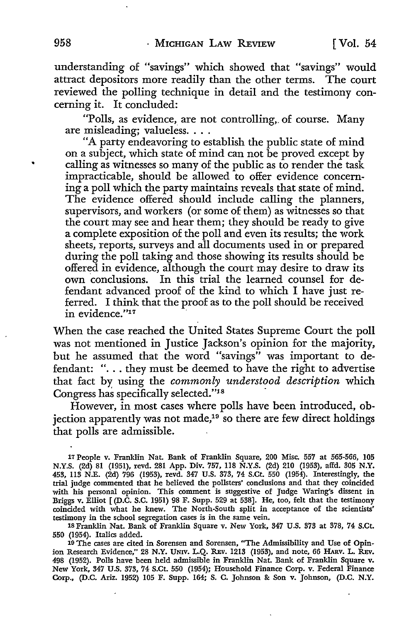understanding of "savings" which showed that "savings" would attract depositors more readily than the other terms. The court reviewed the polling technique in detail and the testimony concerning it. It concluded:

"Polls, as evidence, are not controlling,. of course. Many are misleading; valueless. . . .

"A party endeavoring to establish the public state of mind on a subject, which state of mind can not be proved except by calling as witnesses so many of the public as to render the task impracticable, should be allowed to offer evidence concerning a poll which the party maintains reveals that state of mind. The evidence offered should include calling the planners, supervisors, and workers (or some of them) as witnesses so that the court may see and hear them; they should be ready to give a complete exposition of the poll and even its results; the work sheets, reports, surveys and all documents used in or prepared during the poll taking and those showing its results should be offered in evidence, although the court may desire to draw its own conclusions. In this trial the learned counsel for defendant advanced proof of the kind to which I have just referred. I think that the proof as to the poll should be received in evidence."17

When the case reached the United States Supreme Court the poll was not mentioned in Justice Jackson's opinion for the majority, but he assumed that the word "savings" was important to defendant: " $\dots$  they must be deemed to have the right to advertise that fact by using the *commonly understood description* which Congress has specifically selected."<sup>18</sup>

However, in most cases where polls have been introduced, objection apparently was not made, $19$  so there are few direct holdings that polls are admissible.

17 People v. Franklin Nat. Bank of Franklin Square, 200 Misc. 557 at 565-566, 105 N.Y.S. (2d) 81 (1951), revd. 281 App. Div. 757, ll8 N.Y.S. (2d) 210 (1953), affd. 305 N.Y. 453, 113 N.E. (2d) 796 (1953), revd. 347 U.S. 373, 74 S.Ct. 550 (1954). Interestingly, the trial judge commented that he believed the pollsters' conclusions and that they coincided with his personal opinion. This comment is suggestive of Judge Waring's dissent in Briggs v. Elliot [ (D.C. S.C. 1951) 98 F. Supp. 529 at 538]. He, too, felt that the testimony coincided with what he knew. The North-South split in acceptance of the scientists' testimony in the school segregation cases is in the same vein.

18 Franklin Nat. Bank of Franklin Square v. New York, 347 U.S. 373 at 378, 74 S.Ct. 550 (1954). Italics added.

19 The cases are cited in Sorensen and Sorensen, "The Admissibility and Use of Opinion Research Evidence," 28 N.Y. UNIV. L.Q. REv. 1213 (1953), and note, 66 HARv. L. REv. 498 (1952). Polls have been held admissible in Franklin Nat. Bank of Franklin Square v. New York, 347 U.S. 373, 74 S.Ct. 550 (1954); Household Finance Corp. v. Federal Finance Corp., (D.C. Ariz. 1952) 105 F. Supp. 164; S. C. Johnson & Son v. Johnson, (D.C. N.Y.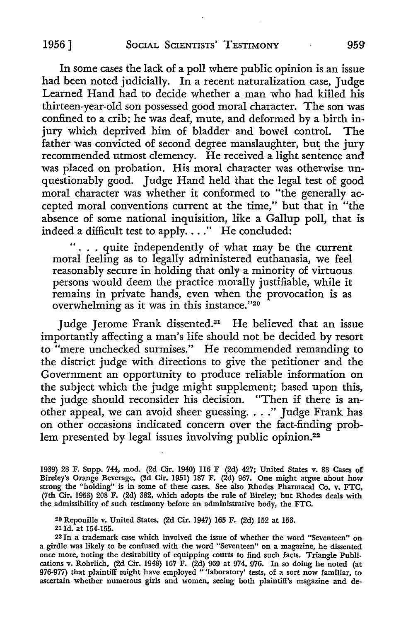In some cases the lack of a poll where public opinion is an issue had been noted judicially. In a recent naturalization case, Judge Learned Hand had to decide whether a man who had killed his thirteen-year-old son possessed good moral character. The son was confined to a crib; he was deaf, mute, and deformed by a birth injury which deprived him of bladder and bowel control. The father was convicted of second degree manslaughter, but the jury recommended utmost clemency. He received a light sentence and was placed on probation. His moral character was otherwise unquestionably good. Judge Hand held that the legal test of good moral character was whether it conformed to "the generally accepted moral conventions current at the time," but that in "the absence of some national inquisition, like a Gallup poll, that is indeed a difficult test to apply.  $\dots$ ." He concluded:

" . . . quite independently of what may be the current moral feeling as to legally administered euthanasia, we feel reasonably secure in holding that only a minority of virtuous persons would deem the practice morally justifiable, while it remains in private hands, even when the provocation is as overwhelming as it was in this instance. "20

Judge Jerome Frank dissented.21 He believed that an issue importantly affecting a man's life should not be decided by resort to "mere unchecked surmises." He recommended remanding to the district judge with directions to give the petitioner and the Government an opportunity to produce reliable information on the subject which the judge might supplement; based upon this, the judge should reconsider his decision. "Then if there is an-other appeal, we can avoid sheer guessing .... " Judge Frank has on other occasions indicated concern over the fact-finding problem presented by legal issues involving public opinion.<sup>22</sup>

1939) 28 F. Supp. 744, mod. (2d Cir. 1940) 116 F (2d) 427; United States v. 88 Cases of Bireley's Orange Beverage, (3d Cir. 1951) 187 F. (2d) 967. One might argue about how strong the "holding" is in some of these cases. See also Rhodes Pharmacal Co. v. FTC, (7th Cir. 1953) 208 F. (2d) 382, which adopts the rule of Bireley; but Rhodes deals with the admissibility of such testimony before an administrative body, the FTC.

20 Repouille v. United States, (2d Cir. 1947) 165 F. (2d) 152 at 153.

21 Id. at 154-155.

22 In a trademark case which involved the issue of whether the word "Seventeen" on a girdle was likely to be confused with the word "Seventeen" on a magazine, he dissented once more, noting the desirability of equipping courts to find such facts. Triangle Publications v. Rohrlich, (2d Cir. 1948) 167 F. (2d) 969 at 974, 976. In so doing he noted (at 976-977) that plaintiff might have employed " 'laboratory' tests, of a sort now familiar, to ascertain whether numerous girls and women, seeing both plaintiff's magazine and de-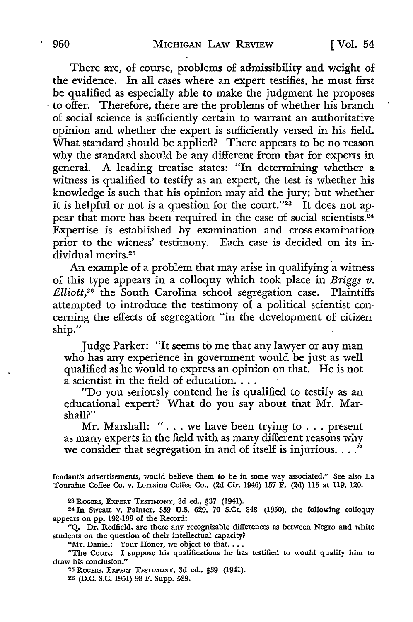There are, of course, problems of admissibility and weight of the evidence. In all cases where an expert testifies, he must first be qualified as especially able to make the judgment he proposes to offer. Therefore, there are the problems of whether his branch of social science is sufficiently certain to warrant an authoritative opinion and whether the expert is sufficiently versed in his field. What standard should be applied? There appears to be no reason why the standard should be any different from that for experts in general. A leading treatise states: "In determining whether a witness is qualified to testify as an expert, the test is whether his knowledge is such that his opinion may aid the jury; but whether it is helpful or not is a question for the court." $23$  It does not appear that more has been required in the case of social scientists.<sup>24</sup> Expertise is established by examination and cross-examination prior to the witness' testimony. Each case is decided on its individual merits.25

An example of a problem that may arise in qualifying a witness of this type appears in a colloquy which took place in *Briggs v. Elliott,*26 the South Carolina school segregation case. Plaintiffs attempted to introduce the testimony of a political scientist concerning the effects of segregation "in the development of citizenship."

Judge Parker: "It seems to me that any lawyer or any man who has any experience in government would be just as well qualified as he would to express an opinion on that. He is not  $\vec{a}$  scientist in the field of education...

"Do you seriously contend he is qualified to testify as an educational expert? What do you say about that Mr. Marshall?"

Mr. Marshall: "... we have been trying to ... present as many experts in the field with as many different reasons why we consider that segregation in and of itself is injurious. . . ."

fendant's advertisements, would believe them to be in some way associated." See also La Touraine Coffee Co. v. Lorraine Coffee Co., (2d Cir. 1946) 157 F. (2d) 115 at 119, 120.

23 ROGERS, EXPERT TESTIMONY, 3d ed., §37 (1941).

24 In Sweatt v. Painter, 339 U.S. 629, 70 S.Ct. 848 (1950), the following colloquy appears on pp. 192-193 of the Record:

"Q. Dr. Redfield, are there any recognizable differences as between Negro and white students on the question of their intellectual capacity?

"Mr. Daniel: Your Honor, we object to that....

"The Court: I suppose his qualifications he has testified to would qualify him to draw his conclusion."

25 RoGERS, EXPERT TESTIMONY, 3d ed., §39 (1941). 26 (D.C. S.C. 1951) 98 F. Supp. 529.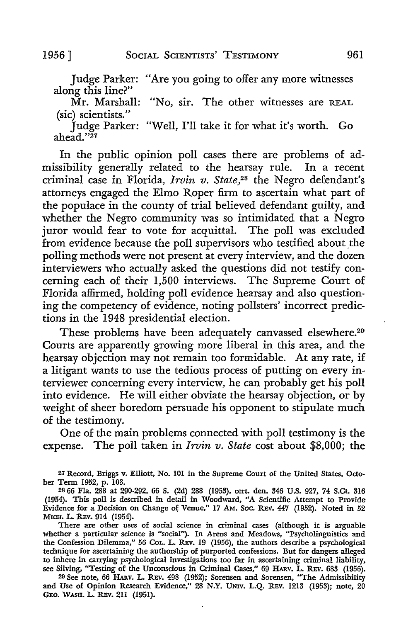Judge Parker: "Are you going to offer any more witnesses along this line?"

Mr. Marshall: "No, sir. The other witnesses are REAL (sic) scientists."

Judge Parker: "Well, I'll take it for what it's worth. Go ahead." $^{\v{27}}$ 

In the public opinion poll cases there are problems of admissibility generally related to the hearsay rule. In a recent criminal case in Florida, *Irvin v. State*,<sup>28</sup> the Negro defendant's attorneys engaged the Elmo Roper firm to ascertain what part of the populace in the county of trial believed defendant guilty, and whether the Negro community was so intimidated that a Negro juror would fear to vote for acquittal. The poll was excluded from evidence because the poll supervisors who testified about the polling methods were not present at every interview, and the dozen interviewers who actually asked the questions did not testify concerning each of their 1,500 interviews. The Supreme Court of Florida affirmed, holding poll evidence hearsay and also questioning the competency of evidence, noting pollsters' incorrect predictions in the 1948 presidential election.

These problems have been adequately canvassed elsewhere.29 Courts are apparently growing more liberal in this area, and the hearsay objection may not remain too formidable. At any rate, if a litigant wants to use the tedious process of putting on every interviewer concerning every interview, he can probably get his poll into evidence. He will either obviate the hearsay objection, or by weight of sheer boredom persuade his opponent to stipulate much of the testimony.

One of the main problems connected with poll testimony is the expense. The poll taken in *Irvin v. State* cost about \$8,000; the

27 Record, Briggs v. Elliott, No. 101 in the Supreme Court of the United States, October Tenn 1952, p. 103.

28 66 Fla. 288 at 290-292, 66 S. (2d) 288 (1953), cert. den. 346 U.S. 927, 74 S.Ct. 316 (1954). This poll is described in detail in Woodward, "A Scientific Attempt to Provide Evidence for a Decision on Change of Venue," 17 Am. Soc. REv.  $447$  (1952). Noted in 52 MICH. L. REV. 914 (1954).

There are other uses of social science in criminal cases (although it is arguable whether a particular science is "social"). In Arens and Meadows, "Psycholinguistics and the Confession Dilemma," 56 CoL. L. R.Ev. 19 (1956), the authors describe a psychological technique for ascertaining the authorship of purported confessions. But for dangers alleged to inhere in carrying psychological investigations too far in ascertaining criminal liability, see Silving, "Testing of the Unconscious in Criminal Cases," 69 HARV. L. REV. 683 (1956).

<sup>29</sup> See note, 66 HARV. L. REV. 498 (1952); Sorensen and Sorensen, "The Admissibility and Use of Opinion Research Evidence," 28 N.Y. UNIV. L.Q. REV. 1213 (1953); note, 20 GEO. WASH. L. REV. 211 (1951).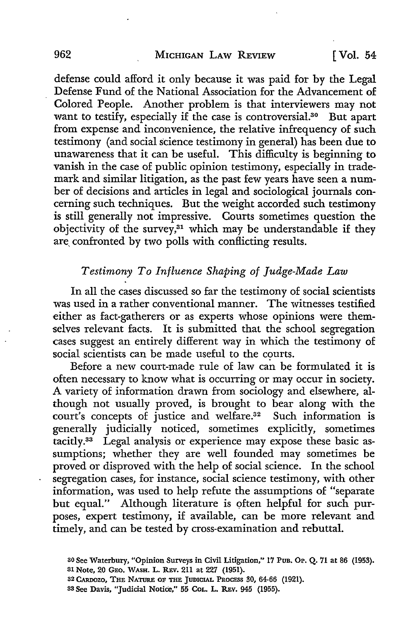#### 962 **MICHIGAN LAW REVIEW** [ Vol. 54

defense could afford it only because it was paid for by the Legal Defense Fund of the National Association for the Advancement of Colored People. Another problem is that interviewers may not want to testify, especially if the case is controversial.<sup>30</sup> But apart from expense and inconvenience, the relative infrequency of such testimony (and social science testimony in general) has been due to unawareness that it can be useful. This difficulty is beginning to vanish in the case of public opinion testimony, especially in trademark and similar litigation, as the past few years have seen a number of decisions and articles in legal and sociological journals concerning such techniques. But the weight accorded such testimony is still generally not impressive. Courts sometimes question the objectivity of the survey, $31$  which may be understandable if they are, confronted by two polls with conflicting results.

# *Testimony To Influence Shaping of Judge-Made Law*

In all the cases discussed so far the testimony of social scientists was used in a rather conventional manner. The witnesses testified either as fact-gatherers or as experts whose opinions were themselves relevant facts. It is submitted that the school segregation cases suggest an entirely different way in which the testimony of social scientists can be made useful to the courts.

Before a new court-made rule of law can be formulated it is often necessary to know what is occurring or may occur in society. A variety of information drawn from sociology and elsewhere, although not usually proved, is brought to bear along with the court's concepts of justice and welfare.32 Such information is generally judicially noticed, sometimes explicitly, sometimes tacitly.33 Legal analysis or experience may expose these basic assumptions; whether they are well founded may sometimes be proved or disproved with the help of social science. In the school segregation cases, for instance, social science testimony, with other information, was used to help refute the assumptions of "separate but equal." Although literature is often helpful for such purposes, expert testimony, if available, can be more relevant and timely, and can be tested by cross-examination and rebuttal.

so See Waterbury, "Opinion Surveys in Civil Litigation," 17 PuB. OP. Q. 71 at 86 (1953).

<sup>31</sup> Note, 20 GEO. WASH. L. REv. 211 at 227 (1951).

<sup>32</sup> CARDOZO, THE NATURE OF THE JUDICIAL PROCESS 30, 64-66 (1921).

S3 See Davis, "Judicial Notice," 55 COL. L. REV. 945 (1955).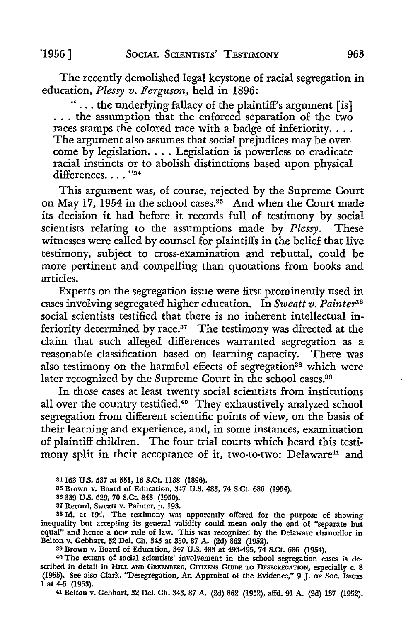The recently demolished legal keystone of racial segregation in education, *Plessy v. Ferguson,* held in 1896:

" ... the underlying fallacy of the plaintiff's argument [is] . . . the assumption that the enforced separation of the two races stamps the colored race with a badge of inferiority.... The argument also assumes that social prejudices may be overcome by legislation. . . . Legislation is powerless to eradicate racial instincts or to abolish distinctions based upon physical differences. . . . "34

This argument was, of course, rejected by the Supreme Court on May 17, 1954 in the school cases.<sup>35</sup> And when the Court made its decision it had before it records full of testimony by social scientists relating to the assumptions made by *Plessy.* These witnesses were called by counsel for plaintiffs in the belief that live testimony, subject to cross-examination and rebuttal, could be more pertinent and compelling than quotations from books and articles.

Experts on the segregation issue were first prominently used in cases involving segregated higher education. In *Sweatt v. Painter*<sup>36</sup> social scientists testified that there is no inherent intellectual inferiority determined by race. $37$  The testimony was directed at the claim that such alleged differences warranted segregation as a reasonable classification based on learning capacity. There was also testimony on the harmful effects of segregation<sup>38</sup> which were later recognized by the Supreme Court in the school cases.<sup>39</sup>

In those cases at least twenty social scientists from institutions all over the country testified.40 They exhaustively analyzed school segregation from different scientific points of view, on the basis of their learning and experience, and, in some instances, examination of plaintiff children. The four trial courts which heard this testimony split in their acceptance of it, two-to-two: Delaware<sup>41</sup> and

34163 U.S. 537 at 551, 16 S.Ct. 1138 (1896).

35 Brown v. Board of Education, 347 U.S. 483, 74 S.Ct. 686 (1954).

36 339 U.S. 629, 70 S.Ct. 848 (1950).

37 Record, Sweatt v. Painter, p. 193.

38 Id. at 194. The testimony was apparently offered for the purpose of showing inequality but accepting its general validity could mean only the end of "separate but equal" and hence a new rule of law. This was recognized by the Delaware chancellor in Belton v. Gebhart, 32 Del. Ch. 343 at 350, 87 A. (2d) 862 (1952).

39 Brown v. Board of Education, 347 U.S. 483 at 493-495, 74 S.Ct. 686 (1954).

40 The extent of social scientists' involvement in the school segregation cases is described in detail in HILL AND GREENBERG, CITIZENS GUIDE TO DESEGREGATION, especially c. 8 (1955). See also Clark, "Desegregation, An Appraisal of the Evidence," 9 J. OF Soc. lssUES 1 at 4-5 (1953).

41 Belton v. Gebhart, 32 Del. Ch. 343, 87 A. (2d) 862 (1952), alfd. 91 A. (2d) 137 (1952).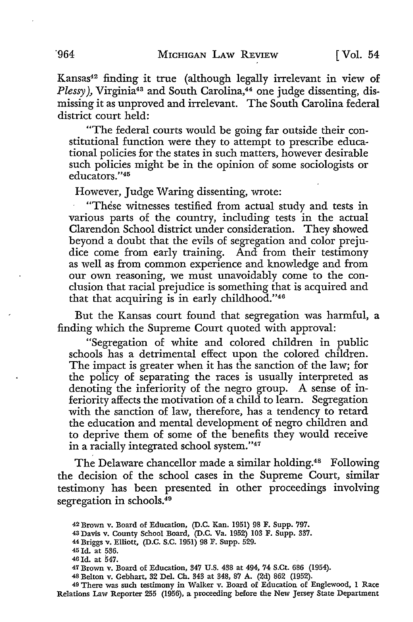Kansas42 finding it true (although legally irrelevant in view of *Plessy)*, Virginia<sup>43</sup> and South Carolina,<sup>44</sup> one judge dissenting, dismissing it as unproved and irrelevant. The South Carolina federal district court held:

"The federal courts would be going far outside their constitutional function were they to attempt to prescribe educational policies for the states in such matters, however desirable such policies might be in the opinion of some sociologists or educators."45

However, Judge Waring dissenting, wrote:

"These witnesses testified from actual study and tests in various parts of the country, including tests in the actual Clarendon School district under consideration. They showed beyond a doubt that the evils of segregation and color prejudice come from early training. And from their testimony as well as from common experience and knowledge and from our own reasoning, we must unavoidably come to the conclusion that racial prejudice is something that is acquired and that that acquiring is in early childhood."46

But the Kansas court found that segregation was harmful, a finding which the Supreme Court quoted with approval:

"Segregation of white and colored children in public schools has a detrimental effect upon the colored children. The impact is greater when it has the sanction of the law; for the policy of separating the races is usually interpreted as denoting the inferiority of the negro group. A sense of inferiority affects the motivation of a child to learn. Segregation with the sanction of law, therefore, has a tendency to retard the education and mental development of negro children and to deprive them of some of the benefits they would receive in a racially integrated school system."47

The Delaware chancellor made a similar holding.<sup>48</sup> Following the decision of the school cases in the Supreme Court, similar testimony has been presented in other proceedings involving segregation in schools.<sup>49</sup>

<sup>42</sup> Brown v. Board of Education, (D.C. Kan. 1951) 98 F. Supp. 797.

<sup>43</sup> Davis v. County School Board, (D.C. Va. 1952) 103 F. Supp. 337.

<sup>44</sup> Briggs v. Elliott, (D.C. S.C. 1951) 98 F. Supp. 529.

<sup>45</sup> Id. at 536.

<sup>46</sup> Id. at 547. 47 Brown v. Board of Education, 347 U.S. 438 at 494, 74 S.Ct. 686 (1954).

<sup>48</sup> Belton v. Gebhart, 32 Del. Ch. 343 at 348, 87 A. (2d) 862 (1952).

<sup>49</sup> There was such testimony in Walker v. Board of Education of Englewood, I Race Relations Law Reporter 255 (1956), a proceeding before the New Jersey State Department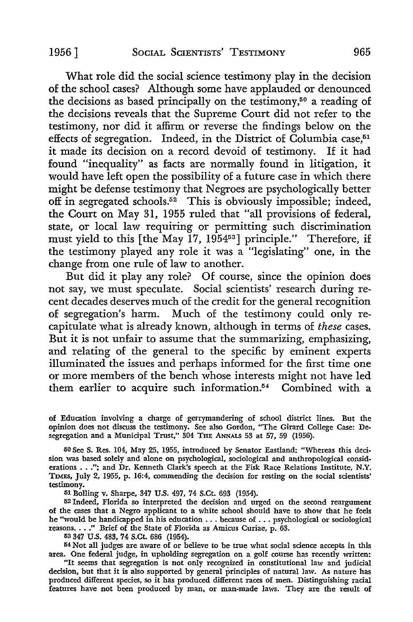What role did the social science testimony play in the decision of the school cases? Although some have applauded or denounced the decisions as based principally on the testimony,<sup>50</sup> a reading of the decisions reveals that the Supreme Court did not refer to the testimony, nor did it affirm or reverse the findings below on the effects of segregation. Indeed, in the District of Columbia case,<sup>51</sup> it made its decision on a record devoid of testimony. If it had found "inequality" as facts are normally found in litigation, it would have left open the possibility of a future case in which there might be defense testimony that Negroes are psychologically better off in segregated schools.<sup>52</sup> This is obviously impossible; indeed, the Court on May 31, 1955 ruled that "all provisions of federal, state, or local law requiring or permitting such discrimination must yield to this [the May 17, 1954<sup>53</sup>] principle." Therefore, if the testimony played any role it was a "legislating" one, in the change from one rule of law to another.

But did it play any role? Of course, since the opinion does not say, we must speculate. Social scientists' research during recent decades deserves much of the credit for the general recognition of segregation's harm. Much of the testimony could only recapitulate what is already known, although in terms of *these* cases. But it is not unfair to assume that the summarizing, emphasizing, and relating of the general to the specific by eminent experts illuminated the issues and perhaps informed for the first time one or more members of the bench whose interests might not have led them earlier to acquire such information.54 Combined with a

of Education involving a charge of gerrymandering of school district lines. But the opinion does not discuss the testimony. See also Gordon, "The Girard College Case: Desegregation and a Municipal Trust," 304 THE ANNALS 53 at 57, 59 (1956).

-50 See S. Res. 104, May 25, 1955, introduced by Senator Eastland: "Whereas this decision was based solely and alone on psychological, sociological and anthropological considerations . . ."; and Dr. Kenneth Clark's speech at the Fisk Race Relations Institute, N.Y. TIMES, July 2, 1955, p. 16:4, commending the decision for resting on the social scientists' testimony.

51 Bolling v. Sharpe, 347 U.S. 497, 74 S.Ct. 693 (1954).

52 Indeed, Florida so interpreted the decision and urged on the second reargument of the cases that a Negro applicant to a white school should have to show that he feels he "would be handicapped in his education ... because of ... psychological or sociological reasons. . . . " Brief of the State of Florida as Amicus Curiae, p. 63.

li3 347 U.S. 483, 74 S.CL 686 (1954).

<sup>54</sup>Not all judges are aware of or believe to be true what social science accepts in this area. One federal judge, in upholding segregation on a golf course has recently written:

"It seems that segregation is not only recognized in constitutional law and judicial decision, but that it is also supported by general principles of natural law. As nature has produced different species, so it has produced different races of men. Distinguishing racial features have not been produced by man, or man-made laws. They are the result of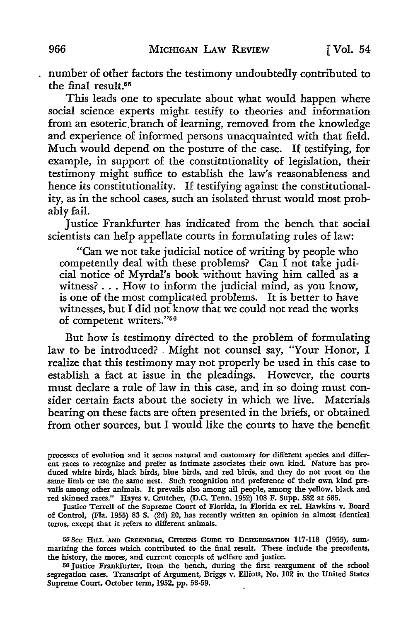number of other factors the testimony undoubtedly contributed to the final result.66

This leads one to speculate about what would happen where social science experts might testify to theories and information from an esoteric. branch of learning, removed from the knowledge and experience of informed persons unacquainted with that field. Much would depend on the posture of the case. If testifying, for example, in support of the constitutionality of legislation, their testimony might suffice to establish the law's reasonableness and hence its constitutionality. If testifying against the constitutionality, as in the school cases, such an isolated thrust would most probably fail.

Justice Frankfurter has indicated from the bench that social scientists can help appellate courts in formulating rules of law:

"Can we not take judicial notice of writing by people who competently deal with these problems? Can I not take judicial notice of Myrdal's book without having him called as a witness? ... How to inform the judicial mind, as you know, is one of the most complicated problems. It is better to have witnesses, but I did not know that we could not read the works of competent writers."56

But how is testimony directed to the problem of formulating law to be introduced? . Might not counsel say, "Your Honor, I realize that this testimony may not properly be used in this case to establish a fact at issue in the pleadings. However, the courts must declare a rule of law in this case, and in so doing must consider certain facts about the society in which we live. Materials bearing on these facts are often presented in the briefs, or obtained from other sources, but I would like the courts to have the benefit

processes of evolution and it seems natural and customary for different species and different races to recognize and prefer as intimate associates their own kind. Nature has produced white birds, black birds, blue birds, and red birds, and they do not roost on the same limb or use the same nest. Such recognition and preference of their own kind prevails among other animals. It prevails also among all people, among the yellow, black and red skinned races." Hayes v. Crutcher, (D.C. Tenn. 1952) 108 F. Supp. 582 at 585.

Justice Terrell of the Supreme Court of Florida, in Florida ex rel. Hawkins v. Board of Control, (Fla. 1955) 83 S. (2d) 20, has recently written an opinion in almost identical terms, except that it refers to different animals.

55 See HILL AND GREENBERG, CITIZENS GUIDE TO DESEGREGATION 117-118 (1955), summarizing the forces which contributed to the final result. These include the precedents, the history, the mores, and current concepts of welfare and justice.

66 Justice Frankfurter, from the bench, during the first reargument of the school segregation cases. Transcript of Argument, Briggs v. Elliott, No. 102 in the United States Supreme Court, October term, 1952, pp. 58-59.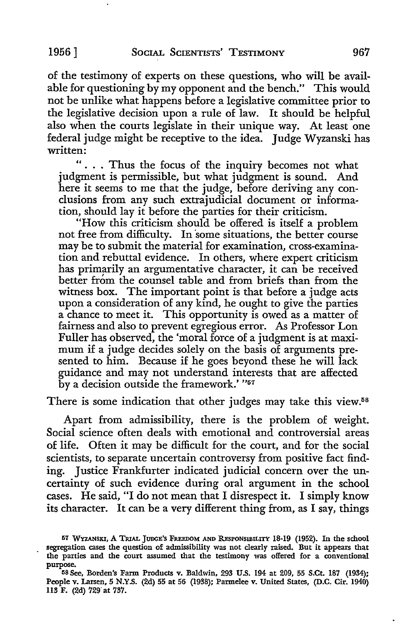of the testimony of experts on these questions, who will be available for questioning by my opponent and the bench." This would not be unlike what happens before a legislative committee prior to the legislative decision upon a rule of law. It should be helpful also when the courts legislate in their unique way. At least one federal judge might be receptive to the idea. Judge Wyzanski has written:

" . . . Thus the focus of the inquiry becomes not what judgment is permissible, but what judgment is sound. And here it seems to me that the judge, before deriving any conclusions from any such extrajudicial document or information, should lay it before the parties for their criticism.

"How this criticism should be offered is itself a problem not free from difficulty. In some situations, the better course may be to submit the material for examination, cross-examination and rebuttal evidence. In others, where expert criticism has primarily an argumentative character, it can be received better from the counsel table and from briefs than from the witness box. The important point is that before a judge acts upon a consideration of any kind, he ought to give the parties a chance to meet it. This opportunity is owed as a matter of fairness and also to prevent egregious error. As Professor Lon Fuller has observed, the 'moral force of a judgment is at maximum if a judge decides solely on the basis of arguments presented to him. Because if he goes beyond these he will lack guidance and may not understand interests that are affected by a decision outside the framework.' "<sup>57</sup>

There is some indication that other judges may take this view.<sup>58</sup>

Apart from admissibility, there is the problem of weight. Social science often deals with emotional and controversial areas of life. Often it may be difficult for the court, and for the social scientists, to separate uncertain controversy from positive fact finding. Justice Frankfurter indicated judicial concern over the uncertainty of such evidence during oral argument in the school cases. He said, "I do not mean that I disrespect it. I simply know its character. It can be a very different thing from, as I say, things

<sup>57</sup> WYZANSKI, A TRIAL JUDGE'S FREEDOM AND RESPONSIBILITY 18-19 (1952). In the school segregation cases the question of admissibility was not clearly raised. But it appears that the parties and the court assumed that the testimony was offered for a conventional purpose.

<sup>58</sup> See, Borden's Farm Products v. Baldwin, 293 U.S. 194 at 209, 55 S.Ct. 187 (1934); People v. Larsen, 5 N.Y.S. (2d) 55 at 56 (1938); Parmelee v. United States, (D.C. Cir. 1940) 113 F. (2d) 729' at 737.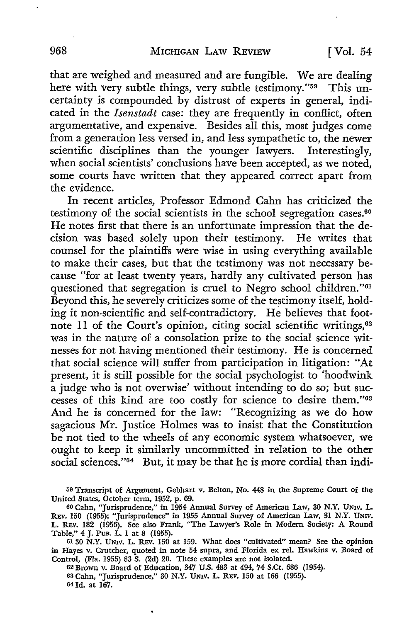that are weighed and measured and are fungible. We are dealing here with very subtle things, very subtle testimony."<sup>59</sup> This uncertainty is compounded by distrust of experts in general, indicated in the *Isenstadt* case: they are frequently in conflict, often argumentative, and expensive. Besides all this, most judges come from a generation less versed in, and less sympathetic to, the newer scientific disciplines than the younger lawyers. Interestingly, when social scientists' conclusions have been accepted, as we noted, some courts have written that they appeared correct apart from the evidence.

In recent articles, Professor Edmond Cahn has criticized the testimony of the social scientists in the school segregation cases.<sup>60</sup> He notes first that there is an unfortunate impression that the decision was based solely upon their testimony. He writes that counsel for the plaintiffs were wise in using everything available to make their cases, but that the testimony was not necessary because "for at least twenty years, hardly any cultivated person has questioned that segregation is cruel to Negro school children."61 Beyond this, he severely criticizes some of the testimony itself, holding it non-scientific and self-contradictory. He believes that footnote 11 of the Court's opinion, citing social scientific writings,<sup>62</sup> was in the nature of a consolation prize to the social science witnesses for not having mentioned their testimony. He is concerned that social science will suffer from participation in litigation: "At present, it is still possible for the social psychologist to 'hoodwink a judge who is not overwise' without intending to do so; but successes of this kind are too costly for science to desire them."63 And he is concerned for the law: "Recognizing as we do how sagacious Mr. Justice Holmes was to insist that the Constitution be not tied to the wheels of any economic system whatsoever, we ought to keep it similarly uncommitted in relation to the other social sciences."<sup>64</sup> But, it may be that he is more cordial than indi-

62 Brown v. Board of Education, 347 U.S. 483 at 494, 74 S.Ct. 686 (1954).

63 Cahn, "Jurisprudence,'' 30 N.Y. UNIV. L. REv. 150 at 166 (1955). 64 Id. at 167.

<sup>59</sup> Transcript of Argument, Gebhart v. Belton, No. 448 in the Supreme Court of the United States, October term, 1952, p. 69.

<sup>60</sup> Cahn, "Jurisprudence," in 1954 Annual Survey of American Law, 30 N.Y. UNiv. L. R.Ev. 150 (1955); "Jurisprudence" in 1955 Annual Survey of American Law, 31 N.Y. UNIV. L. REv. 182 (1956). See also Frank, "The Lawyer's Role in Modern Society: A Round Table,'' 4 J. PuB. L. 1 at 8 (1955).

<sup>61 30</sup> N.Y. UNIV. L. REV. 150 at 159. What does "cultivated" mean? See the opinion in Hayes v. Crutcher, quoted in note 54 supra, and Florida ex rel. Hawkins v. Board of Control, (Fla. 1955) 83 S. (2d) 20. These examples are not isolated.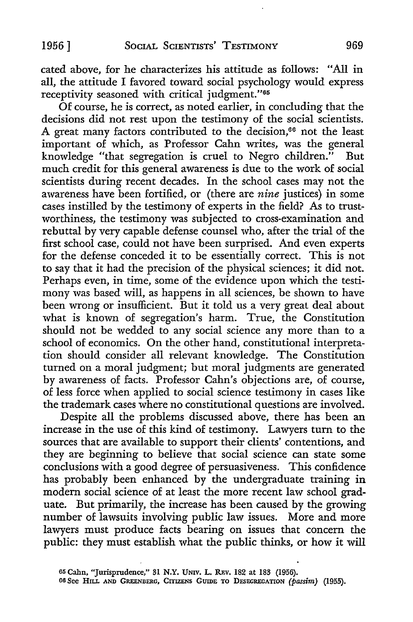cated above, for he characterizes his attitude as follows: "All in all, the attitude I favored toward social psychology would express receptivity seasoned with critical judgment."<sup>65</sup>

Of course, he is correct, as noted earlier, in concluding that the decisions did not rest upon the testimony of the social scientists. A great many factors contributed to the decision,<sup>66</sup> not the least important of which, as Professor Cahn writes, was the general knowledge "that segregation is cruel to Negro children." But much credit for this general awareness is due to the work of social scientists during recent decades. In the school cases may not the awareness have been fortified, or (there are *nine* justices) in some cases instilled by the testimony of experts in the field? As to trustworthiness, the testimony was subjected to cross-examination and rebuttal by very capable defense counsel who, after the trial of the first school case, could not have been surprised. And even experts for the defense conceded it to be essentially correct. This is not to say that it had the precision of the physical sciences; it did not. Perhaps even, in time, some of the evidence upon which the testimony was based will, as happens in all sciences, be shown to have been wrong or insufficient. But it told us a very great deal about what is known of segregation's harm. True, the Constitution should not be wedded to any social science any more than to a school of economics. On the other hand, constitutional interpretation should consider all relevant knowledge. The Constitution turned on a moral judgment; but moral judgments are generated by awareness of facts. Professor Cahn's objections are, of course, of less force when applied to social science testimony in cases like the trademark cases where no constitutional questions are involved.

Despite all the problems discussed above, there has been an increase in the use of this kind of testimony. Lawyers turn to the sources that are available to support their clients' contentions, and they are beginning to believe that social science can state some conclusions with a good degree of persuasiveness. This confidence has probably been enhanced by the undergraduate training in modern social science of at least the more recent law school graduate. But primarily, the increase has been caused by the growing number of lawsuits involving public law issues. More and more lawyers must produce facts bearing on issues that concern the public: they must establish what the public thinks, or how it will